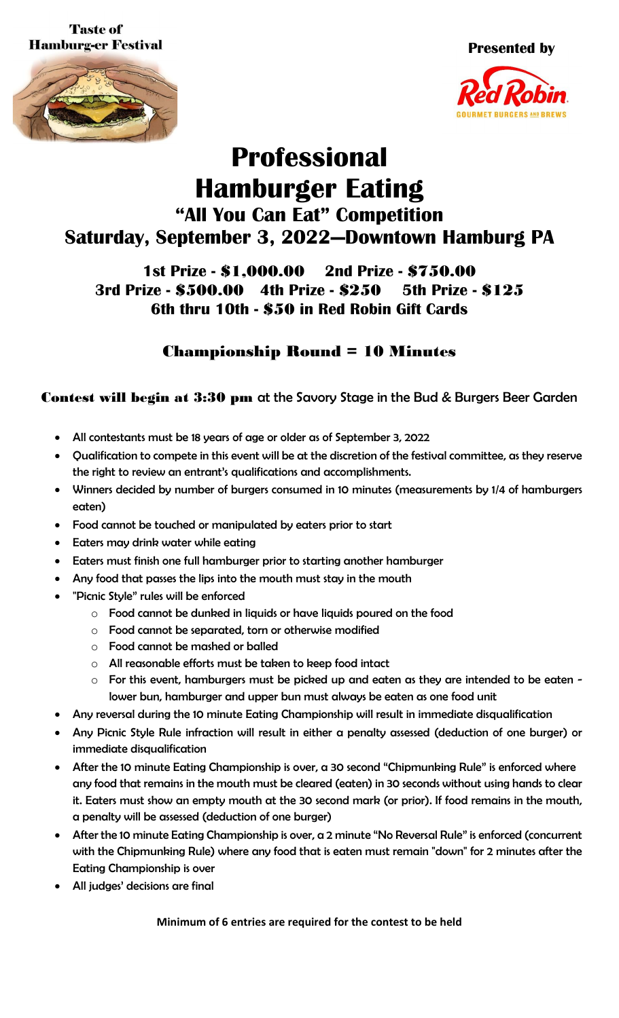**Taste of Hamburg-er Festival** 





## **Professional Hamburger Eating "All You Can Eat" Competition Saturday, September 3, 2022—Downtown Hamburg PA**

## **1st Prize -** \$1,000.00 **2nd Prize -** \$750.00 **3rd Prize -** \$500.00 **4th Prize -** \$250 **5th Prize -** \$125 **6th thru 10th -** \$50 **in Red Robin Gift Cards**

## Championship Round = 10 Minutes

Contest will begin at 3:30 pm at the Savory Stage in the Bud & Burgers Beer Garden

- All contestants must be 18 years of age or older as of September 3, 2022
- Qualification to compete in this event will be at the discretion of the festival committee, as they reserve the right to review an entrant's qualifications and accomplishments.
- Winners decided by number of burgers consumed in 10 minutes (measurements by 1/4 of hamburgers eaten)
- Food cannot be touched or manipulated by eaters prior to start
- Eaters may drink water while eating
- Eaters must finish one full hamburger prior to starting another hamburger
- Any food that passes the lips into the mouth must stay in the mouth
- "Picnic Style" rules will be enforced
	- o Food cannot be dunked in liquids or have liquids poured on the food
	- o Food cannot be separated, torn or otherwise modified
	- o Food cannot be mashed or balled
	- o All reasonable efforts must be taken to keep food intact
	- $\circ$  For this event, hamburgers must be picked up and eaten as they are intended to be eaten lower bun, hamburger and upper bun must always be eaten as one food unit
- Any reversal during the 10 minute Eating Championship will result in immediate disqualification
- Any Picnic Style Rule infraction will result in either a penalty assessed (deduction of one burger) or immediate disqualification
- After the 10 minute Eating Championship is over, a 30 second "Chipmunking Rule" is enforced where any food that remains in the mouth must be cleared (eaten) in 30 seconds without using hands to clear it. Eaters must show an empty mouth at the 30 second mark (or prior). If food remains in the mouth, a penalty will be assessed (deduction of one burger)
- After the 10 minute Eating Championship is over, a 2 minute "No Reversal Rule" is enforced (concurrent with the Chipmunking Rule) where any food that is eaten must remain "down" for 2 minutes after the Eating Championship is over
- All judges' decisions are final

**Minimum of 6 entries are required for the contest to be held**